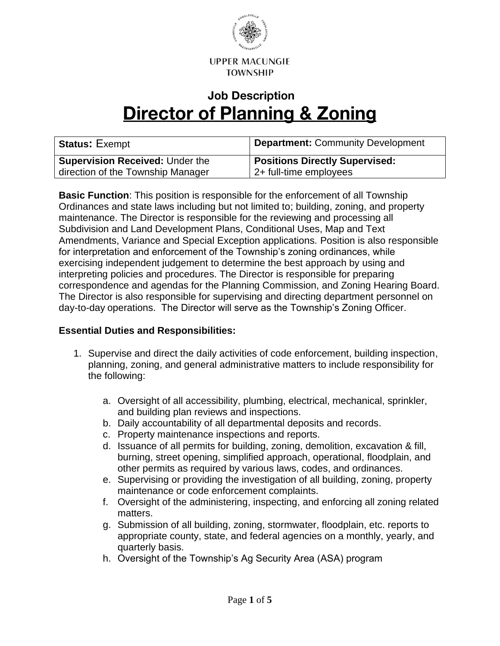

# **Job Description Director of Planning & Zoning**

| <b>Status: Exempt</b>                  | <b>Department: Community Development</b> |
|----------------------------------------|------------------------------------------|
| <b>Supervision Received: Under the</b> | <b>Positions Directly Supervised:</b>    |
| direction of the Township Manager      | 2+ full-time employees                   |

**Basic Function**: This position is responsible for the enforcement of all Township Ordinances and state laws including but not limited to; building, zoning, and property maintenance. The Director is responsible for the reviewing and processing all Subdivision and Land Development Plans, Conditional Uses, Map and Text Amendments, Variance and Special Exception applications. Position is also responsible for interpretation and enforcement of the Township's zoning ordinances, while exercising independent judgement to determine the best approach by using and interpreting policies and procedures. The Director is responsible for preparing correspondence and agendas for the Planning Commission, and Zoning Hearing Board. The Director is also responsible for supervising and directing department personnel on day-to-day operations. The Director will serve as the Township's Zoning Officer.

#### **Essential Duties and Responsibilities:**

- 1. Supervise and direct the daily activities of code enforcement, building inspection, planning, zoning, and general administrative matters to include responsibility for the following:
	- a. Oversight of all accessibility, plumbing, electrical, mechanical, sprinkler, and building plan reviews and inspections.
	- b. Daily accountability of all departmental deposits and records.
	- c. Property maintenance inspections and reports.
	- d. Issuance of all permits for building, zoning, demolition, excavation & fill, burning, street opening, simplified approach, operational, floodplain, and other permits as required by various laws, codes, and ordinances.
	- e. Supervising or providing the investigation of all building, zoning, property maintenance or code enforcement complaints.
	- f. Oversight of the administering, inspecting, and enforcing all zoning related matters.
	- g. Submission of all building, zoning, stormwater, floodplain, etc. reports to appropriate county, state, and federal agencies on a monthly, yearly, and quarterly basis.
	- h. Oversight of the Township's Ag Security Area (ASA) program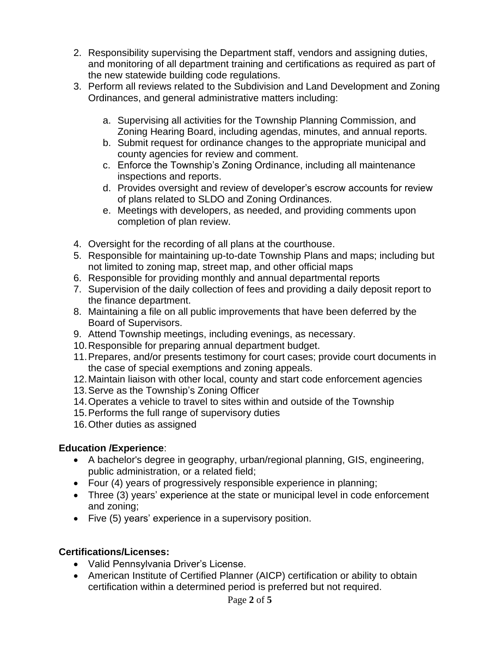- 2. Responsibility supervising the Department staff, vendors and assigning duties, and monitoring of all department training and certifications as required as part of the new statewide building code regulations.
- 3. Perform all reviews related to the Subdivision and Land Development and Zoning Ordinances, and general administrative matters including:
	- a. Supervising all activities for the Township Planning Commission, and Zoning Hearing Board, including agendas, minutes, and annual reports.
	- b. Submit request for ordinance changes to the appropriate municipal and county agencies for review and comment.
	- c. Enforce the Township's Zoning Ordinance, including all maintenance inspections and reports.
	- d. Provides oversight and review of developer's escrow accounts for review of plans related to SLDO and Zoning Ordinances.
	- e. Meetings with developers, as needed, and providing comments upon completion of plan review.
- 4. Oversight for the recording of all plans at the courthouse.
- 5. Responsible for maintaining up-to-date Township Plans and maps; including but not limited to zoning map, street map, and other official maps
- 6. Responsible for providing monthly and annual departmental reports
- 7. Supervision of the daily collection of fees and providing a daily deposit report to the finance department.
- 8. Maintaining a file on all public improvements that have been deferred by the Board of Supervisors.
- 9. Attend Township meetings, including evenings, as necessary.
- 10.Responsible for preparing annual department budget.
- 11.Prepares, and/or presents testimony for court cases; provide court documents in the case of special exemptions and zoning appeals.
- 12.Maintain liaison with other local, county and start code enforcement agencies
- 13.Serve as the Township's Zoning Officer
- 14.Operates a vehicle to travel to sites within and outside of the Township
- 15.Performs the full range of supervisory duties
- 16.Other duties as assigned

# **Education /Experience**:

- A bachelor's degree in geography, urban/regional planning, GIS, engineering, public administration, or a related field;
- Four (4) years of progressively responsible experience in planning;
- Three (3) years' experience at the state or municipal level in code enforcement and zoning;
- Five (5) years' experience in a supervisory position.

# **Certifications/Licenses:**

- Valid Pennsylvania Driver's License.
- American Institute of Certified Planner (AICP) certification or ability to obtain certification within a determined period is preferred but not required.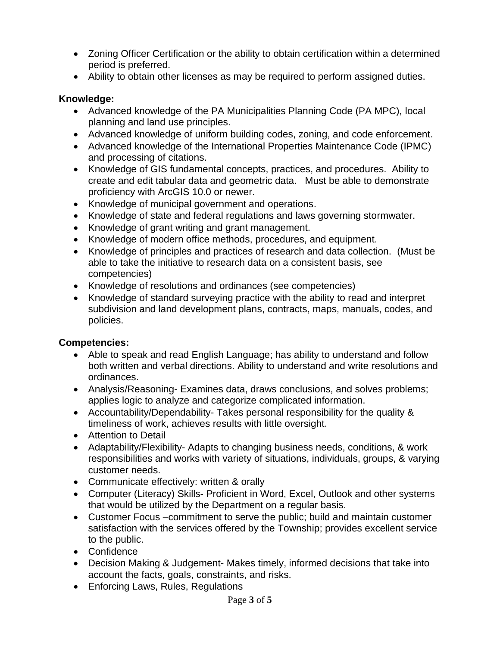- Zoning Officer Certification or the ability to obtain certification within a determined period is preferred.
- Ability to obtain other licenses as may be required to perform assigned duties.

#### **Knowledge:**

- Advanced knowledge of the PA Municipalities Planning Code (PA MPC), local planning and land use principles.
- Advanced knowledge of uniform building codes, zoning, and code enforcement.
- Advanced knowledge of the International Properties Maintenance Code (IPMC) and processing of citations.
- Knowledge of GIS fundamental concepts, practices, and procedures. Ability to create and edit tabular data and geometric data. Must be able to demonstrate proficiency with ArcGIS 10.0 or newer.
- Knowledge of municipal government and operations.
- Knowledge of state and federal regulations and laws governing stormwater.
- Knowledge of grant writing and grant management.
- Knowledge of modern office methods, procedures, and equipment.
- Knowledge of principles and practices of research and data collection. (Must be able to take the initiative to research data on a consistent basis, see competencies)
- Knowledge of resolutions and ordinances (see competencies)
- Knowledge of standard surveying practice with the ability to read and interpret subdivision and land development plans, contracts, maps, manuals, codes, and policies.

# **Competencies:**

- Able to speak and read English Language; has ability to understand and follow both written and verbal directions. Ability to understand and write resolutions and ordinances.
- Analysis/Reasoning- Examines data, draws conclusions, and solves problems; applies logic to analyze and categorize complicated information.
- Accountability/Dependability- Takes personal responsibility for the quality & timeliness of work, achieves results with little oversight.
- Attention to Detail
- Adaptability/Flexibility- Adapts to changing business needs, conditions, & work responsibilities and works with variety of situations, individuals, groups, & varying customer needs.
- Communicate effectively: written & orally
- Computer (Literacy) Skills- Proficient in Word, Excel, Outlook and other systems that would be utilized by the Department on a regular basis.
- Customer Focus –commitment to serve the public; build and maintain customer satisfaction with the services offered by the Township; provides excellent service to the public.
- Confidence
- Decision Making & Judgement- Makes timely, informed decisions that take into account the facts, goals, constraints, and risks.
- Enforcing Laws, Rules, Regulations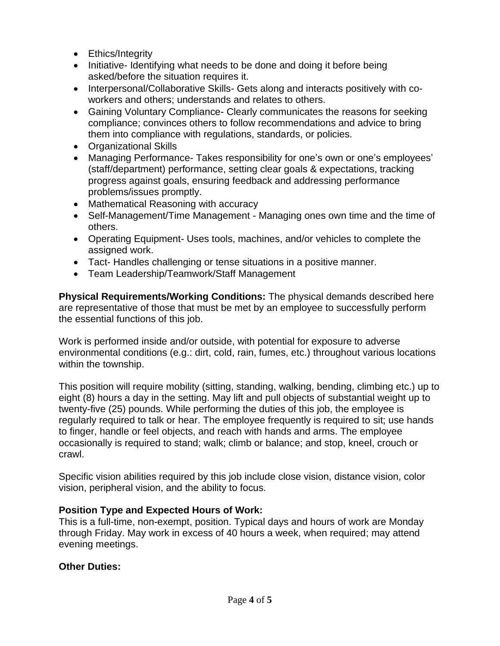- Ethics/Integrity
- Initiative- Identifying what needs to be done and doing it before being asked/before the situation requires it.
- Interpersonal/Collaborative Skills- Gets along and interacts positively with coworkers and others; understands and relates to others.
- Gaining Voluntary Compliance- Clearly communicates the reasons for seeking compliance; convinces others to follow recommendations and advice to bring them into compliance with regulations, standards, or policies.
- Organizational Skills
- Managing Performance- Takes responsibility for one's own or one's employees' (staff/department) performance, setting clear goals & expectations, tracking progress against goals, ensuring feedback and addressing performance problems/issues promptly.
- Mathematical Reasoning with accuracy
- Self-Management/Time Management Managing ones own time and the time of others.
- Operating Equipment- Uses tools, machines, and/or vehicles to complete the assigned work.
- Tact- Handles challenging or tense situations in a positive manner.
- Team Leadership/Teamwork/Staff Management

**Physical Requirements/Working Conditions:** The physical demands described here are representative of those that must be met by an employee to successfully perform the essential functions of this job.

Work is performed inside and/or outside, with potential for exposure to adverse environmental conditions (e.g.: dirt, cold, rain, fumes, etc.) throughout various locations within the township.

This position will require mobility (sitting, standing, walking, bending, climbing etc.) up to eight (8) hours a day in the setting. May lift and pull objects of substantial weight up to twenty-five (25) pounds. While performing the duties of this job, the employee is regularly required to talk or hear. The employee frequently is required to sit; use hands to finger, handle or feel objects, and reach with hands and arms. The employee occasionally is required to stand; walk; climb or balance; and stop, kneel, crouch or crawl.

Specific vision abilities required by this job include close vision, distance vision, color vision, peripheral vision, and the ability to focus.

#### **Position Type and Expected Hours of Work:**

This is a full-time, non-exempt, position. Typical days and hours of work are Monday through Friday. May work in excess of 40 hours a week, when required; may attend evening meetings.

#### **Other Duties:**